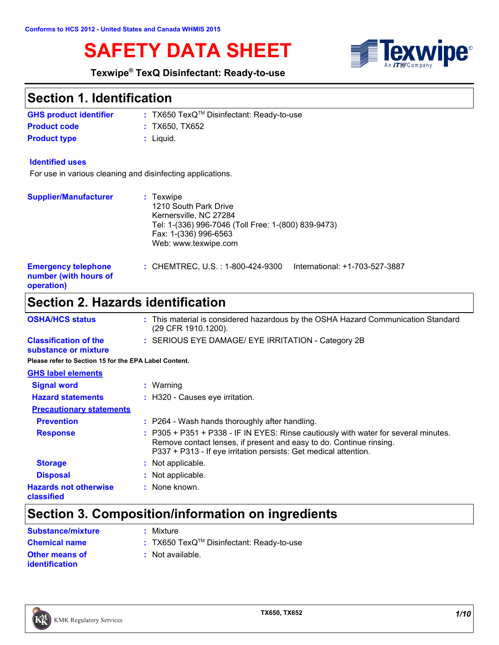# **SAFETY DATA SHEET**



#### **Texwipe® TexQ Disinfectant: Ready-to-use**

## **Section 1. Identification**

| <b>GHS product identifier</b> | : TX650 $TexQ^{TM}$ Disinfectant: Ready-to-use |
|-------------------------------|------------------------------------------------|
| <b>Product code</b>           | : TX650. TX652                                 |
| <b>Product type</b>           | : Liauid.                                      |

#### **Identified uses**

For use in various cleaning and disinfecting applications.

| <b>Supplier/Manufacturer</b>                                      | $:$ Texwipe<br>1210 South Park Drive<br>Kernersville, NC 27284<br>Tel: 1-(336) 996-7046 (Toll Free: 1-(800) 839-9473)<br>Fax: 1-(336) 996-6563<br>Web: www.texwipe.com |
|-------------------------------------------------------------------|------------------------------------------------------------------------------------------------------------------------------------------------------------------------|
| <b>Emergency telephone</b><br>number (with hours of<br>operation) | : CHEMTREC, U.S. : 1-800-424-9300<br>International: +1-703-527-3887                                                                                                    |

# **Section 2. Hazards identification**

| <b>OSHA/HCS status</b>                                | : This material is considered hazardous by the OSHA Hazard Communication Standard<br>(29 CFR 1910.1200). |
|-------------------------------------------------------|----------------------------------------------------------------------------------------------------------|
| <b>Classification of the</b><br>substance or mixture  | : SERIOUS EYE DAMAGE/ EYE IRRITATION - Category 2B                                                       |
| Please refer to Section 15 for the EPA Label Content. |                                                                                                          |
|                                                       |                                                                                                          |

| <b>GHS label elements</b>                  |                                                                                                                                                                                                                                |
|--------------------------------------------|--------------------------------------------------------------------------------------------------------------------------------------------------------------------------------------------------------------------------------|
| <b>Signal word</b>                         | Warning                                                                                                                                                                                                                        |
| <b>Hazard statements</b>                   | : H320 - Causes eye irritation.                                                                                                                                                                                                |
| <b>Precautionary statements</b>            |                                                                                                                                                                                                                                |
| <b>Prevention</b>                          | : P264 - Wash hands thoroughly after handling.                                                                                                                                                                                 |
| <b>Response</b>                            | : P305 + P351 + P338 - IF IN EYES: Rinse cautiously with water for several minutes.<br>Remove contact lenses, if present and easy to do. Continue rinsing.<br>P337 + P313 - If eye irritation persists: Get medical attention. |
| <b>Storage</b>                             | : Not applicable.                                                                                                                                                                                                              |
| <b>Disposal</b>                            | Not applicable.                                                                                                                                                                                                                |
| <b>Hazards not otherwise</b><br>classified | : None known.                                                                                                                                                                                                                  |

# **Section 3. Composition/information on ingredients**

| Substance/mixture                       | : Mixture                                      |
|-----------------------------------------|------------------------------------------------|
| <b>Chemical name</b>                    | : TX650 $TexQ^{TM}$ Disinfectant: Ready-to-use |
| Other means of<br><i>identification</i> | : Not available.                               |

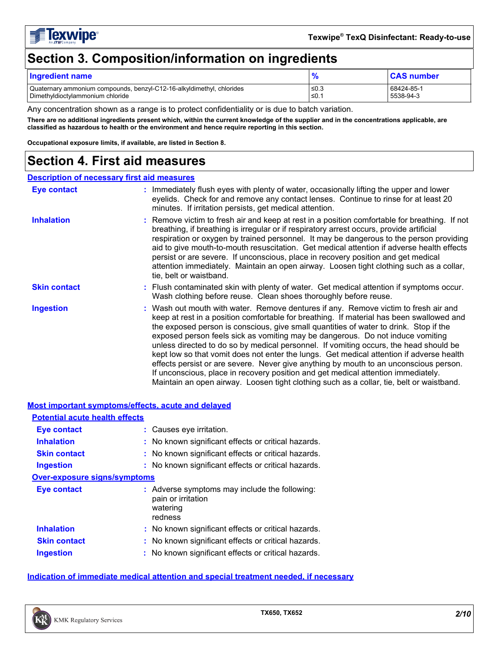

# **Section 3. Composition/information on ingredients**

| <b>Ingredient name</b>                                                |      | <b>CAS number</b> |
|-----------------------------------------------------------------------|------|-------------------|
| Quaternary ammonium compounds, benzyl-C12-16-alkyldimethyl, chlorides | ≤0.3 | 68424-85-1        |
| Dimethyldioctylammonium chloride                                      | ≤0.1 | 5538-94-3         |

Any concentration shown as a range is to protect confidentiality or is due to batch variation.

**There are no additional ingredients present which, within the current knowledge of the supplier and in the concentrations applicable, are classified as hazardous to health or the environment and hence require reporting in this section.**

**Occupational exposure limits, if available, are listed in Section 8.**

### **Section 4. First aid measures**

#### **Description of necessary first aid measures**

| <b>Eye contact</b>  | : Immediately flush eyes with plenty of water, occasionally lifting the upper and lower<br>eyelids. Check for and remove any contact lenses. Continue to rinse for at least 20<br>minutes. If irritation persists, get medical attention.                                                                                                                                                                                                                                                                                                                                                                                                                                                                                                                                                                                 |
|---------------------|---------------------------------------------------------------------------------------------------------------------------------------------------------------------------------------------------------------------------------------------------------------------------------------------------------------------------------------------------------------------------------------------------------------------------------------------------------------------------------------------------------------------------------------------------------------------------------------------------------------------------------------------------------------------------------------------------------------------------------------------------------------------------------------------------------------------------|
| <b>Inhalation</b>   | : Remove victim to fresh air and keep at rest in a position comfortable for breathing. If not<br>breathing, if breathing is irregular or if respiratory arrest occurs, provide artificial<br>respiration or oxygen by trained personnel. It may be dangerous to the person providing<br>aid to give mouth-to-mouth resuscitation. Get medical attention if adverse health effects<br>persist or are severe. If unconscious, place in recovery position and get medical<br>attention immediately. Maintain an open airway. Loosen tight clothing such as a collar,<br>tie, belt or waistband.                                                                                                                                                                                                                              |
| <b>Skin contact</b> | : Flush contaminated skin with plenty of water. Get medical attention if symptoms occur.<br>Wash clothing before reuse. Clean shoes thoroughly before reuse.                                                                                                                                                                                                                                                                                                                                                                                                                                                                                                                                                                                                                                                              |
| <b>Ingestion</b>    | : Wash out mouth with water. Remove dentures if any. Remove victim to fresh air and<br>keep at rest in a position comfortable for breathing. If material has been swallowed and<br>the exposed person is conscious, give small quantities of water to drink. Stop if the<br>exposed person feels sick as vomiting may be dangerous. Do not induce vomiting<br>unless directed to do so by medical personnel. If vomiting occurs, the head should be<br>kept low so that vomit does not enter the lungs. Get medical attention if adverse health<br>effects persist or are severe. Never give anything by mouth to an unconscious person.<br>If unconscious, place in recovery position and get medical attention immediately.<br>Maintain an open airway. Loosen tight clothing such as a collar, tie, belt or waistband. |

#### **Most important symptoms/effects, acute and delayed Inhalation :** No known significant effects or critical hazards. **Ingestion :** No known significant effects or critical hazards. **Skin contact :** No known significant effects or critical hazards. **Eye contact :** Causes eye irritation. **Over-exposure signs/symptoms Skin contact Ingestion Inhalation No known significant effects or critical hazards.** No known significant effects or critical hazards. **:** No known significant effects or critical hazards. **: Eye contact :** Adverse symptoms may include the following: pain or irritation watering redness **Potential acute health effects**

#### **Indication of immediate medical attention and special treatment needed, if necessary**

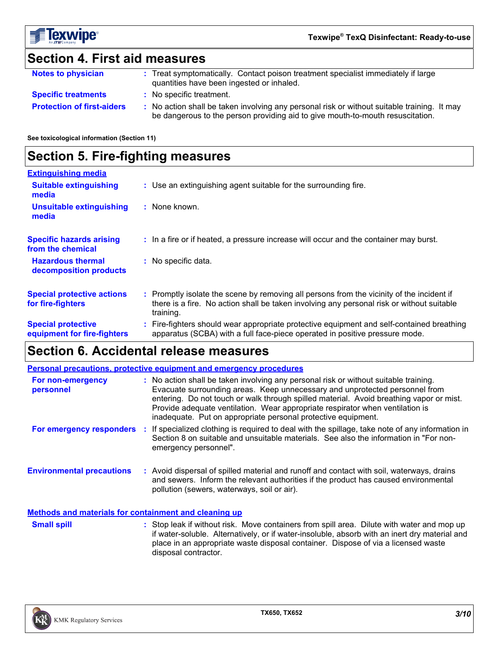

# **Section 4. First aid measures**

| <b>Notes to physician</b>         | Treat symptomatically. Contact poison treatment specialist immediately if large<br>quantities have been ingested or inhaled.                                                |
|-----------------------------------|-----------------------------------------------------------------------------------------------------------------------------------------------------------------------------|
| <b>Specific treatments</b>        | No specific treatment.                                                                                                                                                      |
| <b>Protection of first-aiders</b> | No action shall be taken involving any personal risk or without suitable training. It may<br>be dangerous to the person providing aid to give mouth-to-mouth resuscitation. |

#### **See toxicological information (Section 11)**

### **Section 5. Fire-fighting measures**

| <b>Extinguishing media</b>                               |                                                                                                                                                                                                     |
|----------------------------------------------------------|-----------------------------------------------------------------------------------------------------------------------------------------------------------------------------------------------------|
| <b>Suitable extinguishing</b><br>media                   | : Use an extinguishing agent suitable for the surrounding fire.                                                                                                                                     |
| <b>Unsuitable extinguishing</b><br>media                 | : None known.                                                                                                                                                                                       |
| <b>Specific hazards arising</b><br>from the chemical     | : In a fire or if heated, a pressure increase will occur and the container may burst.                                                                                                               |
| <b>Hazardous thermal</b><br>decomposition products       | : No specific data.                                                                                                                                                                                 |
| <b>Special protective actions</b><br>for fire-fighters   | : Promptly isolate the scene by removing all persons from the vicinity of the incident if<br>there is a fire. No action shall be taken involving any personal risk or without suitable<br>training. |
| <b>Special protective</b><br>equipment for fire-fighters | : Fire-fighters should wear appropriate protective equipment and self-contained breathing<br>apparatus (SCBA) with a full face-piece operated in positive pressure mode.                            |

# **Section 6. Accidental release measures**

|                                                              | <b>Personal precautions, protective equipment and emergency procedures</b>                                                                                                                                                                                                                                                                                                                                       |
|--------------------------------------------------------------|------------------------------------------------------------------------------------------------------------------------------------------------------------------------------------------------------------------------------------------------------------------------------------------------------------------------------------------------------------------------------------------------------------------|
| For non-emergency<br>personnel                               | : No action shall be taken involving any personal risk or without suitable training.<br>Evacuate surrounding areas. Keep unnecessary and unprotected personnel from<br>entering. Do not touch or walk through spilled material. Avoid breathing vapor or mist.<br>Provide adequate ventilation. Wear appropriate respirator when ventilation is<br>inadequate. Put on appropriate personal protective equipment. |
| For emergency responders                                     | If specialized clothing is required to deal with the spillage, take note of any information in<br>Section 8 on suitable and unsuitable materials. See also the information in "For non-<br>emergency personnel".                                                                                                                                                                                                 |
| <b>Environmental precautions</b>                             | : Avoid dispersal of spilled material and runoff and contact with soil, waterways, drains<br>and sewers. Inform the relevant authorities if the product has caused environmental<br>pollution (sewers, waterways, soil or air).                                                                                                                                                                                  |
| <b>Methods and materials for containment and cleaning up</b> |                                                                                                                                                                                                                                                                                                                                                                                                                  |
| $A = 11.211$                                                 |                                                                                                                                                                                                                                                                                                                                                                                                                  |

**Small spill** Stop leak if without risk. Move containers from spill area. Dilute with water and mop up strained with water and mop up if water-soluble. Alternatively, or if water-insoluble, absorb with an inert dry material and place in an appropriate waste disposal container. Dispose of via a licensed waste disposal contractor.

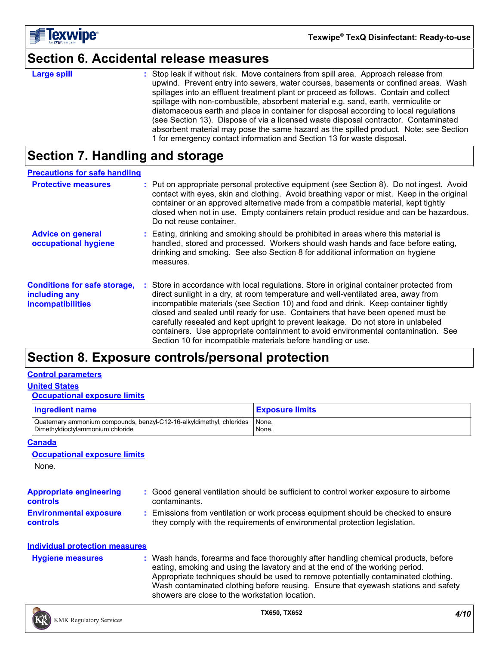

### **Section 6. Accidental release measures**

| arge |  | snı |  |
|------|--|-----|--|

**Large spill the containeral containers** from spill area. Approach release from spill area. Approach release from upwind. Prevent entry into sewers, water courses, basements or confined areas. Wash spillages into an effluent treatment plant or proceed as follows. Contain and collect spillage with non-combustible, absorbent material e.g. sand, earth, vermiculite or diatomaceous earth and place in container for disposal according to local regulations (see Section 13). Dispose of via a licensed waste disposal contractor. Contaminated absorbent material may pose the same hazard as the spilled product. Note: see Section 1 for emergency contact information and Section 13 for waste disposal.

### **Section 7. Handling and storage**

| <b>Precautions for safe handling</b>                                      |                                                                                                                                                                                                                                                                                                                                                                                                                                                                                                                                                                                                   |
|---------------------------------------------------------------------------|---------------------------------------------------------------------------------------------------------------------------------------------------------------------------------------------------------------------------------------------------------------------------------------------------------------------------------------------------------------------------------------------------------------------------------------------------------------------------------------------------------------------------------------------------------------------------------------------------|
| <b>Protective measures</b>                                                | : Put on appropriate personal protective equipment (see Section 8). Do not ingest. Avoid<br>contact with eyes, skin and clothing. Avoid breathing vapor or mist. Keep in the original<br>container or an approved alternative made from a compatible material, kept tightly<br>closed when not in use. Empty containers retain product residue and can be hazardous.<br>Do not reuse container.                                                                                                                                                                                                   |
| <b>Advice on general</b><br>occupational hygiene                          | : Eating, drinking and smoking should be prohibited in areas where this material is<br>handled, stored and processed. Workers should wash hands and face before eating,<br>drinking and smoking. See also Section 8 for additional information on hygiene<br>measures.                                                                                                                                                                                                                                                                                                                            |
| <b>Conditions for safe storage,</b><br>including any<br>incompatibilities | : Store in accordance with local regulations. Store in original container protected from<br>direct sunlight in a dry, at room temperature and well-ventilated area, away from<br>incompatible materials (see Section 10) and food and drink. Keep container tightly<br>closed and sealed until ready for use. Containers that have been opened must be<br>carefully resealed and kept upright to prevent leakage. Do not store in unlabeled<br>containers. Use appropriate containment to avoid environmental contamination. See<br>Section 10 for incompatible materials before handling or use. |

## **Section 8. Exposure controls/personal protection**

#### **Control parameters**

#### **United States**

#### **Occupational exposure limits**

| <b>Ingredient name</b>                                                | <b>Exposure limits</b> |
|-----------------------------------------------------------------------|------------------------|
| Quaternary ammonium compounds, benzyl-C12-16-alkyldimethyl, chlorides | None.                  |
| Dimethyldioctylammonium chloride                                      | None.                  |

#### **Canada**

#### **Occupational exposure limits**

None.

| <b>Appropriate engineering</b><br><b>controls</b> | : Good general ventilation should be sufficient to control worker exposure to airborne<br>contaminants.                                                          |
|---------------------------------------------------|------------------------------------------------------------------------------------------------------------------------------------------------------------------|
| <b>Environmental exposure</b><br><b>controls</b>  | : Emissions from ventilation or work process equipment should be checked to ensure<br>they comply with the requirements of environmental protection legislation. |

#### **Individual protection measures**

Wash hands, forearms and face thoroughly after handling chemical products, before eating, smoking and using the lavatory and at the end of the working period. Appropriate techniques should be used to remove potentially contaminated clothing. Wash contaminated clothing before reusing. Ensure that eyewash stations and safety showers are close to the workstation location. **Hygiene measures :**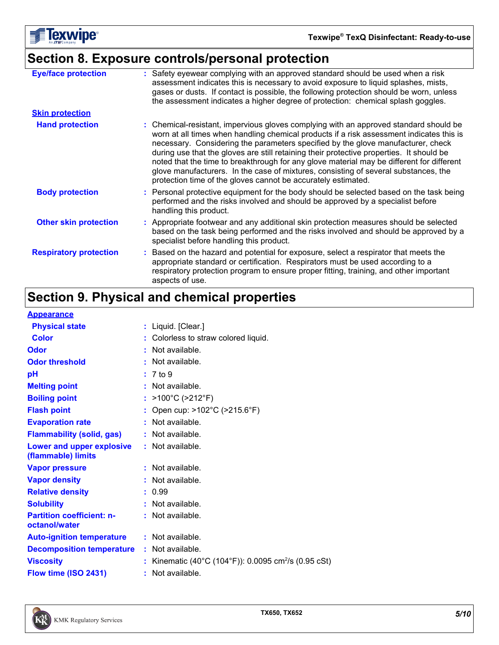

# **Section 8. Exposure controls/personal protection**

| <b>Eye/face protection</b>    | : Safety eyewear complying with an approved standard should be used when a risk<br>assessment indicates this is necessary to avoid exposure to liquid splashes, mists,<br>gases or dusts. If contact is possible, the following protection should be worn, unless<br>the assessment indicates a higher degree of protection: chemical splash goggles.                                                                                                                                                                                                                                                                  |
|-------------------------------|------------------------------------------------------------------------------------------------------------------------------------------------------------------------------------------------------------------------------------------------------------------------------------------------------------------------------------------------------------------------------------------------------------------------------------------------------------------------------------------------------------------------------------------------------------------------------------------------------------------------|
| <b>Skin protection</b>        |                                                                                                                                                                                                                                                                                                                                                                                                                                                                                                                                                                                                                        |
| <b>Hand protection</b>        | : Chemical-resistant, impervious gloves complying with an approved standard should be<br>worn at all times when handling chemical products if a risk assessment indicates this is<br>necessary. Considering the parameters specified by the glove manufacturer, check<br>during use that the gloves are still retaining their protective properties. It should be<br>noted that the time to breakthrough for any glove material may be different for different<br>glove manufacturers. In the case of mixtures, consisting of several substances, the<br>protection time of the gloves cannot be accurately estimated. |
| <b>Body protection</b>        | : Personal protective equipment for the body should be selected based on the task being<br>performed and the risks involved and should be approved by a specialist before<br>handling this product.                                                                                                                                                                                                                                                                                                                                                                                                                    |
| <b>Other skin protection</b>  | : Appropriate footwear and any additional skin protection measures should be selected<br>based on the task being performed and the risks involved and should be approved by a<br>specialist before handling this product.                                                                                                                                                                                                                                                                                                                                                                                              |
| <b>Respiratory protection</b> | : Based on the hazard and potential for exposure, select a respirator that meets the<br>appropriate standard or certification. Respirators must be used according to a<br>respiratory protection program to ensure proper fitting, training, and other important<br>aspects of use.                                                                                                                                                                                                                                                                                                                                    |
|                               |                                                                                                                                                                                                                                                                                                                                                                                                                                                                                                                                                                                                                        |

# **Section 9. Physical and chemical properties**

| , ,,,,,,,,,,,,,,,                                 |                                                                |
|---------------------------------------------------|----------------------------------------------------------------|
| <b>Physical state</b>                             | $:$ Liquid. [Clear.]                                           |
| <b>Color</b>                                      | : Colorless to straw colored liquid.                           |
| Odor                                              | Not available.                                                 |
| <b>Odor threshold</b>                             | Not available.                                                 |
| pH                                                | : 7 to 9                                                       |
| <b>Melting point</b>                              | $:$ Not available.                                             |
| <b>Boiling point</b>                              | : >100°C (>212°F)                                              |
| <b>Flash point</b>                                | Open cup: >102°C (>215.6°F)                                    |
| <b>Evaporation rate</b>                           | Not available.                                                 |
| <b>Flammability (solid, gas)</b>                  | Not available.                                                 |
| Lower and upper explosive<br>(flammable) limits   | $:$ Not available.                                             |
| <b>Vapor pressure</b>                             | Not available.                                                 |
| <b>Vapor density</b>                              | Not available.                                                 |
| <b>Relative density</b>                           | : 0.99                                                         |
| <b>Solubility</b>                                 | Not available.                                                 |
| <b>Partition coefficient: n-</b><br>octanol/water | : Not available.                                               |
| <b>Auto-ignition temperature</b>                  | : Not available.                                               |
| <b>Decomposition temperature</b>                  | $:$ Not available.                                             |
| <b>Viscosity</b>                                  | Kinematic (40°C (104°F)): 0.0095 cm <sup>2</sup> /s (0.95 cSt) |
| Flow time (ISO 2431)                              | : Not available.                                               |
|                                                   |                                                                |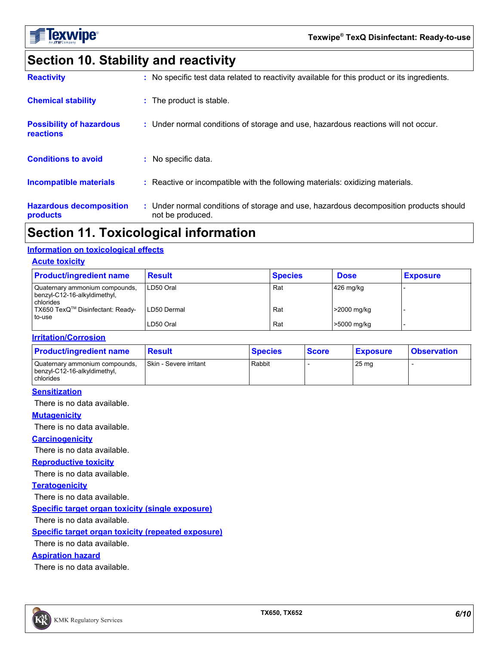

# **Section 10. Stability and reactivity**

| <b>Reactivity</b>                                   | : No specific test data related to reactivity available for this product or its ingredients.              |
|-----------------------------------------------------|-----------------------------------------------------------------------------------------------------------|
| <b>Chemical stability</b>                           | : The product is stable.                                                                                  |
| <b>Possibility of hazardous</b><br><b>reactions</b> | : Under normal conditions of storage and use, hazardous reactions will not occur.                         |
| <b>Conditions to avoid</b>                          | : No specific data.                                                                                       |
| <b>Incompatible materials</b>                       | : Reactive or incompatible with the following materials: oxidizing materials.                             |
| <b>Hazardous decomposition</b><br>products          | : Under normal conditions of storage and use, hazardous decomposition products should<br>not be produced. |

# **Section 11. Toxicological information**

#### **Information on toxicological effects**

#### **Acute toxicity**

| <b>Product/ingredient name</b>                                              | <b>Result</b> | <b>Species</b> | <b>Dose</b>   | <b>Exposure</b> |
|-----------------------------------------------------------------------------|---------------|----------------|---------------|-----------------|
| Quaternary ammonium compounds,<br>benzyl-C12-16-alkyldimethyl,<br>chlorides | LD50 Oral     | Rat            | $426$ mg/kg   |                 |
| TX650 TexQ™ Disinfectant: Ready-<br>to-use                                  | LD50 Dermal   | Rat            | $>2000$ mg/kg |                 |
|                                                                             | LD50 Oral     | Rat            | >5000 mg/kg   |                 |

#### **Irritation/Corrosion**

| <b>Product/ingredient name</b>                                              | <b>Result</b>                 | <b>Species</b> | <b>Score</b> | <b>Exposure</b>  | <b>Observation</b> |
|-----------------------------------------------------------------------------|-------------------------------|----------------|--------------|------------------|--------------------|
| Quaternary ammonium compounds,<br>benzyl-C12-16-alkyldimethyl,<br>chlorides | <b>Skin - Severe irritant</b> | Rabbit         |              | 25 <sub>mg</sub> |                    |

#### **Sensitization**

There is no data available.

#### **Mutagenicity**

There is no data available.

#### **Carcinogenicity**

There is no data available.

#### **Reproductive toxicity**

There is no data available.

#### **Teratogenicity**

There is no data available.

**Specific target organ toxicity (single exposure)**

There is no data available.

#### **Specific target organ toxicity (repeated exposure)**

There is no data available.

#### **Aspiration hazard**

There is no data available.

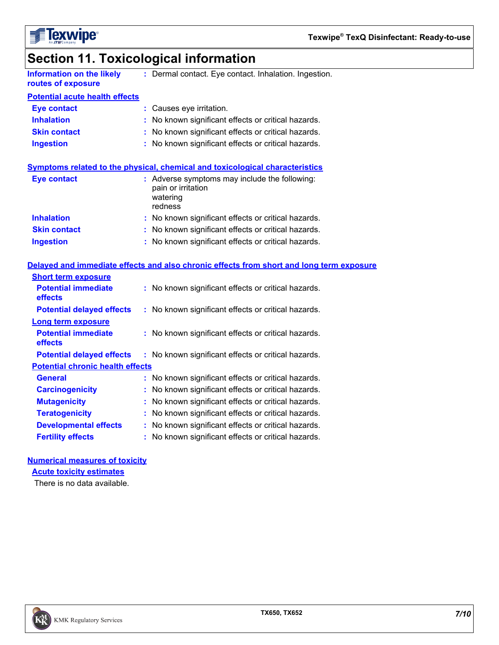

| Section 11. Toxicological information |  |
|---------------------------------------|--|
|---------------------------------------|--|

| <b>Information on the likely</b>        | : Dermal contact. Eye contact. Inhalation. Ingestion.                                      |  |
|-----------------------------------------|--------------------------------------------------------------------------------------------|--|
| routes of exposure                      |                                                                                            |  |
| <b>Potential acute health effects</b>   |                                                                                            |  |
| <b>Eye contact</b>                      | : Causes eye irritation.                                                                   |  |
| <b>Inhalation</b>                       | : No known significant effects or critical hazards.                                        |  |
| <b>Skin contact</b>                     | : No known significant effects or critical hazards.                                        |  |
| <b>Ingestion</b>                        | : No known significant effects or critical hazards.                                        |  |
|                                         | Symptoms related to the physical, chemical and toxicological characteristics               |  |
| <b>Eye contact</b>                      | : Adverse symptoms may include the following:<br>pain or irritation<br>watering<br>redness |  |
| <b>Inhalation</b>                       | : No known significant effects or critical hazards.                                        |  |
| <b>Skin contact</b>                     | : No known significant effects or critical hazards.                                        |  |
| <b>Ingestion</b>                        | : No known significant effects or critical hazards.                                        |  |
|                                         | Delayed and immediate effects and also chronic effects from short and long term exposure   |  |
| <b>Short term exposure</b>              |                                                                                            |  |
| <b>Potential immediate</b><br>effects   | : No known significant effects or critical hazards.                                        |  |
| <b>Potential delayed effects</b>        | : No known significant effects or critical hazards.                                        |  |
| <b>Long term exposure</b>               |                                                                                            |  |
| <b>Potential immediate</b><br>effects   | : No known significant effects or critical hazards.                                        |  |
| <b>Potential delayed effects</b>        | : No known significant effects or critical hazards.                                        |  |
| <b>Potential chronic health effects</b> |                                                                                            |  |
| <b>General</b>                          | : No known significant effects or critical hazards.                                        |  |
| <b>Carcinogenicity</b>                  | : No known significant effects or critical hazards.                                        |  |
| <b>Mutagenicity</b>                     | : No known significant effects or critical hazards.                                        |  |
| <b>Teratogenicity</b>                   | : No known significant effects or critical hazards.                                        |  |

**Developmental effects :** No known significant effects or critical hazards.

**Fertility effects :** No known significant effects or critical hazards.

#### **Numerical measures of toxicity**

**Acute toxicity estimates**

There is no data available.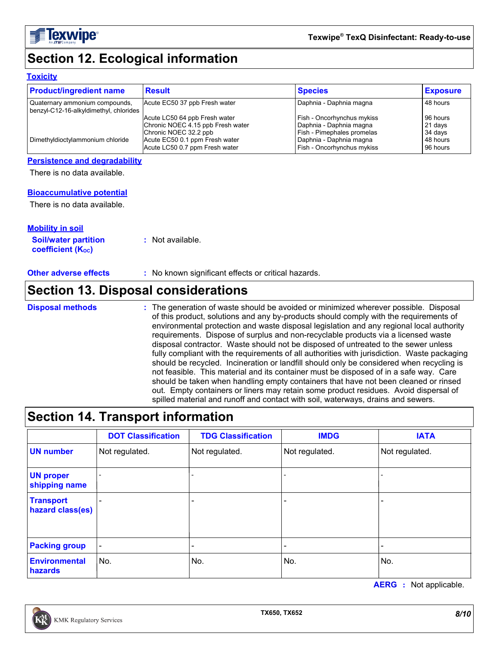

# **Section 12. Ecological information**

#### **Toxicity**

| <b>Product/ingredient name</b>                                           | <b>Result</b>                     | <b>Species</b>             | <b>Exposure</b> |
|--------------------------------------------------------------------------|-----------------------------------|----------------------------|-----------------|
| Quaternary ammonium compounds,<br>benzyl-C12-16-alkyldimethyl, chlorides | Acute EC50 37 ppb Fresh water     | Daphnia - Daphnia magna    | 48 hours        |
|                                                                          | Acute LC50 64 ppb Fresh water     | Fish - Oncorhynchus mykiss | 96 hours        |
|                                                                          | Chronic NOEC 4.15 ppb Fresh water | Daphnia - Daphnia magna    | 21 days         |
|                                                                          | Chronic NOEC 32.2 ppb             | Fish - Pimephales promelas | 34 days         |
| Dimethyldioctylammonium chloride                                         | Acute EC50 0.1 ppm Fresh water    | Daphnia - Daphnia magna    | 48 hours        |
|                                                                          | Acute LC50 0.7 ppm Fresh water    | Fish - Oncorhynchus mykiss | 96 hours        |

#### **Persistence and degradability**

There is no data available.

#### **Bioaccumulative potential**

There is no data available.

| <b>Mobility in soil</b>                                 |                  |
|---------------------------------------------------------|------------------|
| <b>Soil/water partition</b><br><b>coefficient (Koc)</b> | : Not available. |

#### **Other adverse effects** : No known significant effects or critical hazards.

### **Section 13. Disposal considerations**

The generation of waste should be avoided or minimized wherever possible. Disposal of this product, solutions and any by-products should comply with the requirements of environmental protection and waste disposal legislation and any regional local authority requirements. Dispose of surplus and non-recyclable products via a licensed waste disposal contractor. Waste should not be disposed of untreated to the sewer unless fully compliant with the requirements of all authorities with jurisdiction. Waste packaging should be recycled. Incineration or landfill should only be considered when recycling is not feasible. This material and its container must be disposed of in a safe way. Care should be taken when handling empty containers that have not been cleaned or rinsed out. Empty containers or liners may retain some product residues. Avoid dispersal of spilled material and runoff and contact with soil, waterways, drains and sewers. **Disposal methods :**

### **Section 14. Transport information**

|                                      | <b>DOT Classification</b> | <b>TDG Classification</b> | <b>IMDG</b>    | <b>IATA</b>    |
|--------------------------------------|---------------------------|---------------------------|----------------|----------------|
| <b>UN number</b>                     | Not regulated.            | Not regulated.            | Not regulated. | Not regulated. |
| <b>UN proper</b><br>shipping name    |                           |                           |                |                |
| <b>Transport</b><br>hazard class(es) |                           |                           |                |                |
| <b>Packing group</b>                 |                           |                           |                |                |
| Environmental<br>hazards             | No.                       | No.                       | No.            | No.            |

**AERG :** Not applicable.

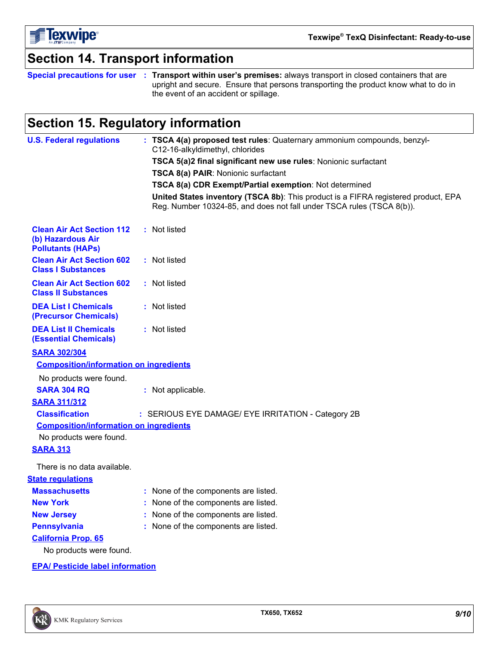

## **Section 14. Transport information**

**Special precautions for user Transport within user's premises:** always transport in closed containers that are **:** upright and secure. Ensure that persons transporting the product know what to do in the event of an accident or spillage.

# **Section 15. Regulatory information**

| <b>U.S. Federal regulations</b>                                                   | : TSCA 4(a) proposed test rules: Quaternary ammonium compounds, benzyl-<br>C12-16-alkyldimethyl, chlorides                                                  |
|-----------------------------------------------------------------------------------|-------------------------------------------------------------------------------------------------------------------------------------------------------------|
|                                                                                   | TSCA 5(a)2 final significant new use rules: Nonionic surfactant                                                                                             |
|                                                                                   | TSCA 8(a) PAIR: Nonionic surfactant                                                                                                                         |
|                                                                                   | TSCA 8(a) CDR Exempt/Partial exemption: Not determined                                                                                                      |
|                                                                                   | United States inventory (TSCA 8b): This product is a FIFRA registered product, EPA<br>Reg. Number 10324-85, and does not fall under TSCA rules (TSCA 8(b)). |
| <b>Clean Air Act Section 112</b><br>(b) Hazardous Air<br><b>Pollutants (HAPs)</b> | : Not listed                                                                                                                                                |
| <b>Clean Air Act Section 602</b><br><b>Class I Substances</b>                     | : Not listed                                                                                                                                                |
| <b>Clean Air Act Section 602</b><br><b>Class II Substances</b>                    | : Not listed                                                                                                                                                |
| <b>DEA List I Chemicals</b><br>(Precursor Chemicals)                              | : Not listed                                                                                                                                                |
| <b>DEA List II Chemicals</b><br><b>(Essential Chemicals)</b>                      | : Not listed                                                                                                                                                |
| <b>SARA 302/304</b>                                                               |                                                                                                                                                             |
| <b>Composition/information on ingredients</b>                                     |                                                                                                                                                             |
| No products were found.                                                           |                                                                                                                                                             |
| <b>SARA 304 RQ</b>                                                                | : Not applicable.                                                                                                                                           |
| <b>SARA 311/312</b>                                                               |                                                                                                                                                             |
| <b>Classification</b>                                                             | : SERIOUS EYE DAMAGE/ EYE IRRITATION - Category 2B                                                                                                          |
| <b>Composition/information on ingredients</b>                                     |                                                                                                                                                             |
| No products were found.                                                           |                                                                                                                                                             |
| <b>SARA 313</b>                                                                   |                                                                                                                                                             |
| There is no data available.                                                       |                                                                                                                                                             |
| <b>State requlations</b>                                                          |                                                                                                                                                             |
| <b>Massachusetts</b>                                                              | : None of the components are listed.                                                                                                                        |
| <b>New York</b>                                                                   | None of the components are listed.                                                                                                                          |
| <b>New Jersey</b>                                                                 | None of the components are listed.                                                                                                                          |
| <b>Pennsylvania</b>                                                               | None of the components are listed.                                                                                                                          |
| <b>California Prop. 65</b>                                                        |                                                                                                                                                             |
| No products were found.                                                           |                                                                                                                                                             |
| <b>EPA/ Pesticide label information</b>                                           |                                                                                                                                                             |
|                                                                                   |                                                                                                                                                             |